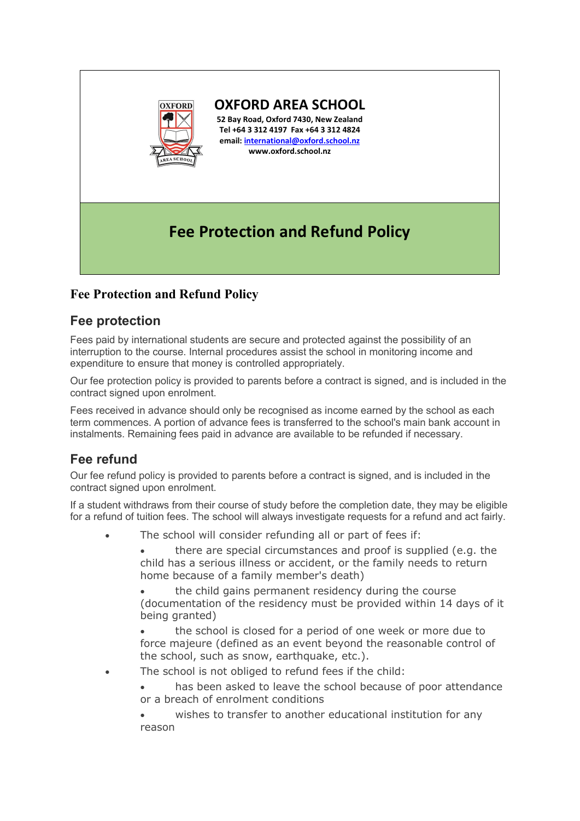

**OXFORD AREA SCHOOL**

**52 Bay Road, Oxford 7430, New Zealand Tel +64 3 312 4197 Fax +64 3 312 4824 email: [international@oxford.school.nz](mailto:international@oxford.school.nz) www.oxford.school.nz**

# **Fee Protection and Refund Policy**

### **Fee Protection and Refund Policy**

### **Fee protection**

Fees paid by international students are secure and protected against the possibility of an interruption to the course. Internal procedures assist the school in monitoring income and expenditure to ensure that money is controlled appropriately.

Our fee protection policy is provided to parents before a contract is signed, and is included in the contract signed upon enrolment.

Fees received in advance should only be recognised as income earned by the school as each term commences. A portion of advance fees is transferred to the school's main bank account in instalments. Remaining fees paid in advance are available to be refunded if necessary.

## **Fee refund**

Our fee refund policy is provided to parents before a contract is signed, and is included in the contract signed upon enrolment.

If a student withdraws from their course of study before the completion date, they may be eligible for a refund of tuition fees. The school will always investigate requests for a refund and act fairly.

The school will consider refunding all or part of fees if:

• there are special circumstances and proof is supplied (e.g. the child has a serious illness or accident, or the family needs to return home because of a family member's death)

• the child gains permanent residency during the course (documentation of the residency must be provided within 14 days of it being granted)

• the school is closed for a period of one week or more due to force majeure (defined as an event beyond the reasonable control of the school, such as snow, earthquake, etc.).

The school is not obliged to refund fees if the child:

has been asked to leave the school because of poor attendance or a breach of enrolment conditions

wishes to transfer to another educational institution for any reason